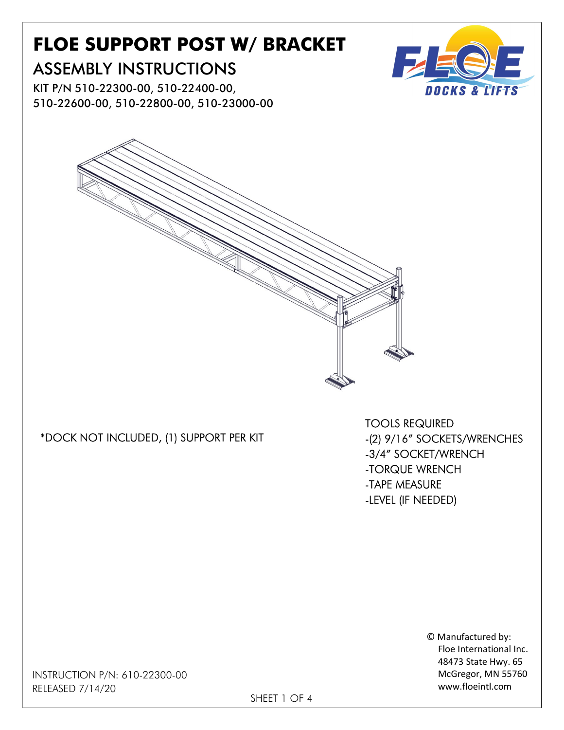# FLOE SUPPORT POST W/ BRACKET

## ASSEMBLY INSTRUCTIONS

KIT P/N 510-22300-00, 510-22400-00, 510-22600-00, 510-22800-00, 510-23000-00



#### \*DOCK NOT INCLUDED, (1) SUPPORT PER KIT

TOOLS REQUIRED -(2) 9/16" SOCKETS/WRENCHES -3/4" SOCKET/WRENCH -TORQUE WRENCH -TAPE MEASURE -LEVEL (IF NEEDED)

> © Manufactured by: Floe International Inc. 48473 State Hwy. 65 McGregor, MN 55760 www.floeintl.com

 INSTRUCTION P/N: 610-22300-00 RELEASED 7/14/20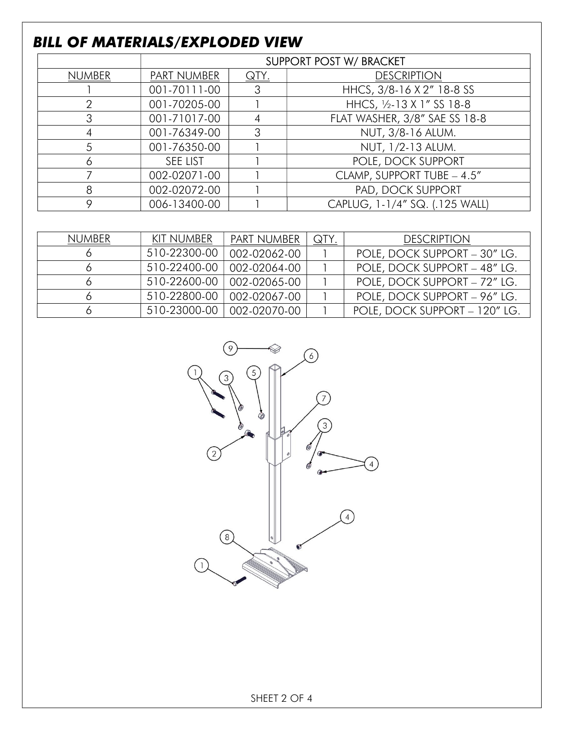### BILL OF MATERIALS/EXPLODED VIEW

|               | <b>SUPPORT POST W/ BRACKET</b> |             |                                |  |  |
|---------------|--------------------------------|-------------|--------------------------------|--|--|
| <b>NUMBER</b> | <b>PART NUMBER</b>             | <u>QTY.</u> | <b>DESCRIPTION</b>             |  |  |
|               | 001-70111-00                   | З           | HHCS, 3/8-16 X 2" 18-8 SS      |  |  |
| $\mathcal{P}$ | 001-70205-00                   |             | HHCS, 1/2-13 X 1" SS 18-8      |  |  |
| 3             | 001-71017-00                   |             | FLAT WASHER, 3/8" SAE SS 18-8  |  |  |
|               | 001-76349-00                   | З           | NUT, 3/8-16 ALUM.              |  |  |
| 5             | 001-76350-00                   |             | NUT, 1/2-13 ALUM.              |  |  |
| 6             | <b>SEE LIST</b>                |             | POLE, DOCK SUPPORT             |  |  |
|               | 002-02071-00                   |             | CLAMP, SUPPORT TUBE - 4.5"     |  |  |
| 8             | 002-02072-00                   |             | PAD, DOCK SUPPORT              |  |  |
| 9             | 006-13400-00                   |             | CAPLUG, 1-1/4" SQ. (.125 WALL) |  |  |

| NUMBER | KIT NUMBER   | PART NUMBER                 | <b>QTY</b> | <b>DESCRIPTION</b>            |
|--------|--------------|-----------------------------|------------|-------------------------------|
|        | 510-22300-00 | 002-02062-00                |            | POLE, DOCK SUPPORT - 30" LG.  |
|        | 510-22400-00 | 002-02064-00                |            | POLE, DOCK SUPPORT - 48" LG.  |
|        | 510-22600-00 | 002-02065-00                |            | POLE, DOCK SUPPORT - 72" LG.  |
|        | 510-22800-00 | 002-02067-00                |            | POLE, DOCK SUPPORT - 96" LG.  |
|        |              | 510-23000-00   002-02070-00 |            | POLE, DOCK SUPPORT - 120" LG. |



SHEET 2 OF 4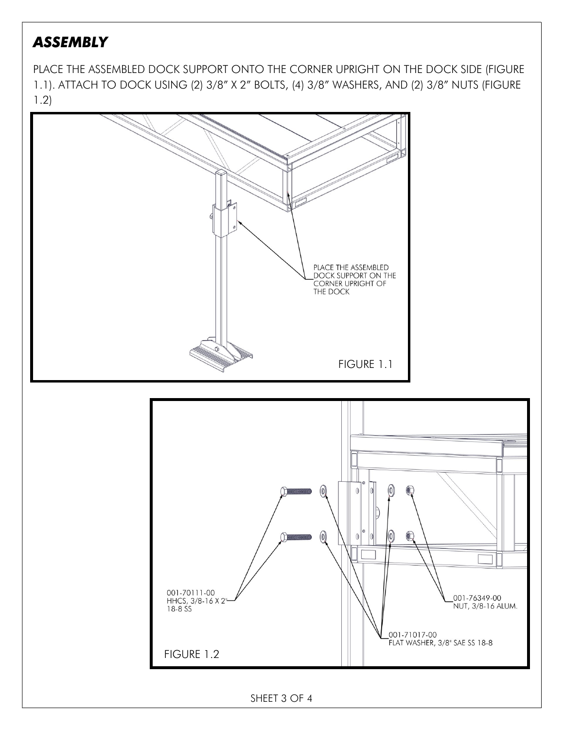### **ASSEMBLY**

PLACE THE ASSEMBLED DOCK SUPPORT ONTO THE CORNER UPRIGHT ON THE DOCK SIDE (FIGURE 1.1). ATTACH TO DOCK USING (2) 3/8" X 2" BOLTS, (4) 3/8" WASHERS, AND (2) 3/8" NUTS (FIGURE 1.2)